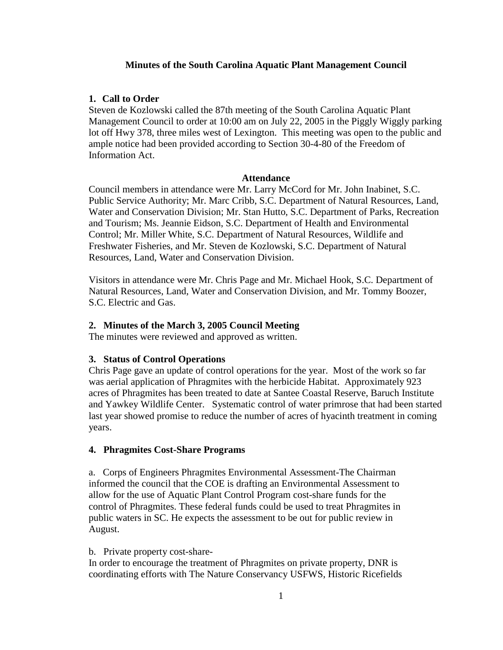# **Minutes of the South Carolina Aquatic Plant Management Council**

# **1. Call to Order**

Steven de Kozlowski called the 87th meeting of the South Carolina Aquatic Plant Management Council to order at 10:00 am on July 22, 2005 in the Piggly Wiggly parking lot off Hwy 378, three miles west of Lexington. This meeting was open to the public and ample notice had been provided according to Section 30-4-80 of the Freedom of Information Act.

### **Attendance**

Council members in attendance were Mr. Larry McCord for Mr. John Inabinet, S.C. Public Service Authority; Mr. Marc Cribb, S.C. Department of Natural Resources, Land, Water and Conservation Division; Mr. Stan Hutto, S.C. Department of Parks, Recreation and Tourism; Ms. Jeannie Eidson, S.C. Department of Health and Environmental Control; Mr. Miller White, S.C. Department of Natural Resources, Wildlife and Freshwater Fisheries, and Mr. Steven de Kozlowski, S.C. Department of Natural Resources, Land, Water and Conservation Division.

Visitors in attendance were Mr. Chris Page and Mr. Michael Hook, S.C. Department of Natural Resources, Land, Water and Conservation Division, and Mr. Tommy Boozer, S.C. Electric and Gas.

### **2. Minutes of the March 3, 2005 Council Meeting**

The minutes were reviewed and approved as written.

### **3. Status of Control Operations**

Chris Page gave an update of control operations for the year. Most of the work so far was aerial application of Phragmites with the herbicide Habitat. Approximately 923 acres of Phragmites has been treated to date at Santee Coastal Reserve, Baruch Institute and Yawkey Wildlife Center. Systematic control of water primrose that had been started last year showed promise to reduce the number of acres of hyacinth treatment in coming years.

### **4. Phragmites Cost-Share Programs**

a. Corps of Engineers Phragmites Environmental Assessment-The Chairman informed the council that the COE is drafting an Environmental Assessment to allow for the use of Aquatic Plant Control Program cost-share funds for the control of Phragmites. These federal funds could be used to treat Phragmites in public waters in SC. He expects the assessment to be out for public review in August.

#### b. Private property cost-share-

In order to encourage the treatment of Phragmites on private property, DNR is coordinating efforts with The Nature Conservancy USFWS, Historic Ricefields